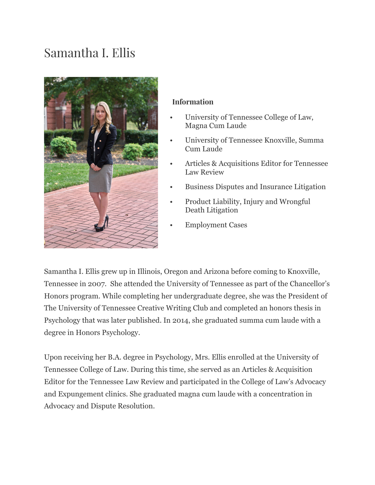## Samantha I. Ellis



## **Information**

- University of Tennessee College of Law, Magna Cum Laude
- University of Tennessee Knoxville, Summa Cum Laude
- Articles & Acquisitions Editor for Tennessee Law Review
- Business Disputes and Insurance Litigation
- Product Liability, Injury and Wrongful Death Litigation
- Employment Cases

Samantha I. Ellis grew up in Illinois, Oregon and Arizona before coming to Knoxville, Tennessee in 2007. She attended the University of Tennessee as part of the Chancellor's Honors program. While completing her undergraduate degree, she was the President of The University of Tennessee Creative Writing Club and completed an honors thesis in Psychology that was later published. In 2014, she graduated summa cum laude with a degree in Honors Psychology.

Upon receiving her B.A. degree in Psychology, Mrs. Ellis enrolled at the University of Tennessee College of Law. During this time, she served as an Articles & Acquisition Editor for the Tennessee Law Review and participated in the College of Law's Advocacy and Expungement clinics. She graduated magna cum laude with a concentration in Advocacy and Dispute Resolution.